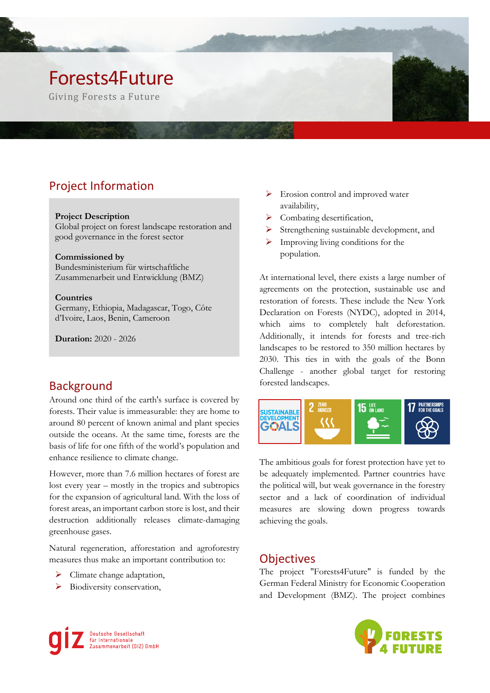# Forests4Future

Giving Forests a Future

## Project Information

#### **Project Description**

Global project on forest landscape restoration and good governance in the forest sector

#### **Commissioned by**

Bundesministerium für wirtschaftliche Zusammenarbeit und Entwicklung (BMZ)

#### **Countries**

Germany, Ethiopia, Madagascar, Togo, Côte d'Ivoire, Laos, Benin, Cameroon

**Duration:** 2020 - 2026

### **Background**

Around one third of the earth's surface is covered by forests. Their value is immeasurable: they are home to around 80 percent of known animal and plant species outside the oceans. At the same time, forests are the basis of life for one fifth of the world's population and enhance resilience to climate change.

However, more than 7.6 million hectares of forest are lost every year – mostly in the tropics and subtropics for the expansion of agricultural land. With the loss of forest areas, an important carbon store is lost, and their destruction additionally releases climate-damaging greenhouse gases.

Natural regeneration, afforestation and agroforestry measures thus make an important contribution to:

- $\triangleright$  Climate change adaptation,
- ➢ Biodiversity conservation,
- ➢ Erosion control and improved water availability,
- ➢ Combating desertification,
- ➢ Strengthening sustainable development, and
- $\triangleright$  Improving living conditions for the population.

At international level, there exists a large number of agreements on the protection, sustainable use and restoration of forests. These include the New York Declaration on Forests (NYDC), adopted in 2014, which aims to completely halt deforestation. Additionally, it intends for forests and tree-rich landscapes to be restored to 350 million hectares by 2030. This ties in with the goals of the Bonn Challenge - another global target for restoring forested landscapes.



The ambitious goals for forest protection have yet to be adequately implemented. Partner countries have the political will, but weak governance in the forestry sector and a lack of coordination of individual measures are slowing down progress towards achieving the goals.

### **Objectives**

The project "Forests4Future" is funded by the German Federal Ministry for Economic Cooperation and Development (BMZ). The project combines